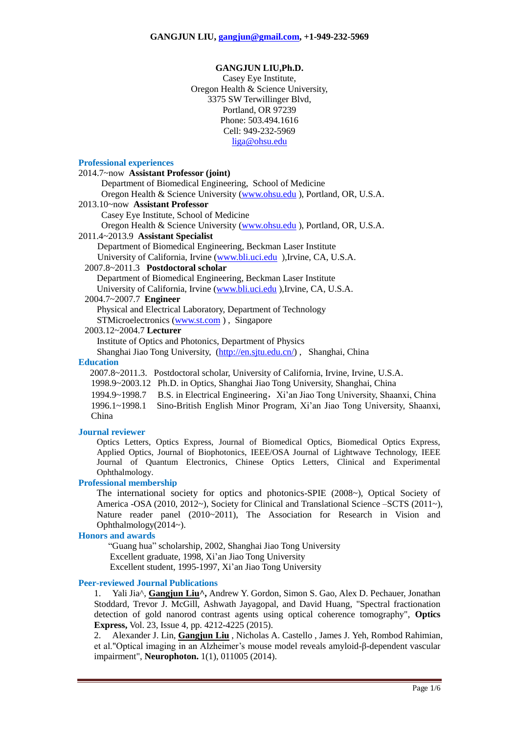#### **GANGJUN LIU,Ph.D.**

Casey Eye Institute, Oregon Health & Science University, 3375 SW Terwillinger Blvd, Portland, OR 97239 Phone: 503.494.1616 Cell: 949-232-5969 [liga@ohsu.edu](mailto:liga@ohsu.edu)

#### **Professional experiences**

# 2014.7~now **Assistant Professor (joint)**

 Department of Biomedical Engineering, School of Medicine Oregon Health & Science University [\(www.ohsu.edu](http://www.ohsu.edu/) ), Portland, OR, U.S.A.

# 2013.10~now **Assistant Professor**

Casey Eye Institute, School of Medicine

Oregon Health & Science University [\(www.ohsu.edu](http://www.ohsu.edu/) ), Portland, OR, U.S.A.

#### 2011.4~2013.9 **Assistant Specialist**

Department of Biomedical Engineering, Beckman Laser Institute University of California, Irvine [\(www.bli.uci.edu](http://www.bli.uci.edu/) ),Irvine, CA, U.S.A.

#### 2007.8~2011.3 **Postdoctoral scholar**

Department of Biomedical Engineering, Beckman Laser Institute University of California, Irvine [\(www.bli.uci.edu](http://www.bli.uci.edu/) ),Irvine, CA, U.S.A.

## 2004.7~2007.7 **Engineer**

 Physical and Electrical Laboratory, Department of Technology STMicroelectronics [\(www.st.com](http://www.st.com/) ) , Singapore

2003.12~2004.7 **Lecturer**

Institute of Optics and Photonics, Department of Physics

Shanghai Jiao Tong University, [\(http://en.sjtu.edu.cn/\)](http://en.sjtu.edu.cn/) , Shanghai, China

## **Education**

2007.8~2011.3. Postdoctoral scholar, University of California, Irvine, Irvine, U.S.A.

1998.9~2003.12 Ph.D. in Optics, Shanghai Jiao Tong University, Shanghai, China

1994.9~1998.7 B.S. in Electrical Engineering,Xi'an Jiao Tong University, Shaanxi, China

1996.1~1998.1 Sino-British English Minor Program, Xi'an Jiao Tong University, Shaanxi, China

## **Journal reviewer**

Optics Letters, Optics Express, Journal of Biomedical Optics, Biomedical Optics Express, Applied Optics, Journal of Biophotonics, IEEE/OSA Journal of Lightwave Technology, IEEE Journal of Quantum Electronics, Chinese Optics Letters, Clinical and Experimental Ophthalmology.

#### **Professional membership**

The international society for optics and photonics-SPIE (2008~), Optical Society of America -OSA (2010, 2012~), Society for Clinical and Translational Science –SCTS (2011~), Nature reader panel (2010~2011), The Association for Research in Vision and Ophthalmology(2014~).

# **Honors and awards**

 "Guang hua" scholarship, 2002, Shanghai Jiao Tong University Excellent graduate, 1998, Xi'an Jiao Tong University Excellent student, 1995-1997, Xi'an Jiao Tong University

#### **Peer-reviewed Journal Publications**

1. Yali Jia^, **Gangjun Liu^,** Andrew Y. Gordon, Simon S. Gao, Alex D. Pechauer, Jonathan Stoddard, Trevor J. McGill, Ashwath Jayagopal, and David Huang, "Spectral fractionation detection of gold nanorod contrast agents using optical coherence tomography", **Optics Express,** Vol. 23, Issue 4, pp. 4212-4225 (2015).

2. Alexander J. Lin, **Gangjun Liu** , Nicholas A. Castello , James J. Yeh, Rombod Rahimian, et al."Optical imaging in an Alzheimer's mouse model reveals amyloid-β-dependent vascular impairment", **Neurophoton.** 1(1), 011005 (2014).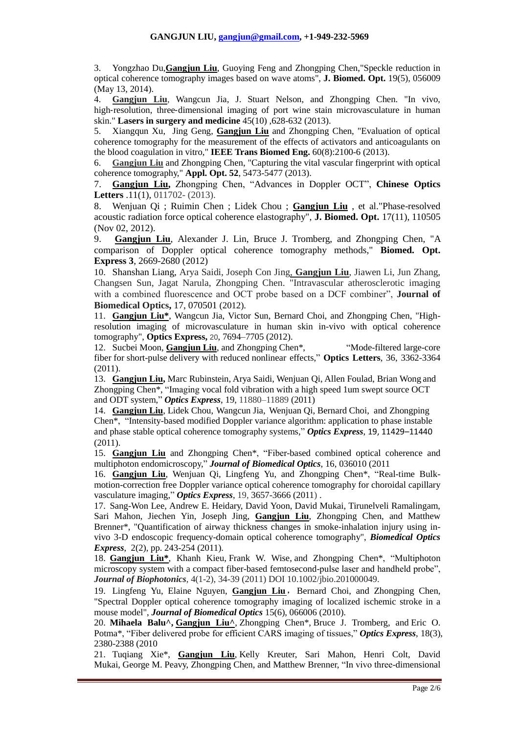3. Yongzhao Du,**Gangjun Liu**, Guoying Feng and Zhongping Chen,"Speckle reduction in optical coherence tomography images based on wave atoms", **J. Biomed. Opt.** 19(5), 056009 (May 13, 2014).

4. **Gangjun Liu**, Wangcun Jia, J. Stuart Nelson, and Zhongping Chen. "In vivo, high-resolution, three-dimensional imaging of port wine stain microvasculature in human skin." **Lasers in surgery and medicine** 45(10) ,628-632 (2013).

5. Xiangqun Xu, Jing Geng, **Gangjun Liu** and Zhongping Chen, "Evaluation of optical coherence tomography for the measurement of the effects of activators and anticoagulants on the blood coagulation in vitro," **IEEE Trans Biomed Eng.** 60(8):2100-6 (2013).

6. **Gangjun Liu** and Zhongping Chen, "Capturing the vital vascular fingerprint with optical coherence tomography," **Appl. Opt. 52**, 5473-5477 (2013).

7. **Gangjun Liu,** Zhongping Chen, "Advances in Doppler OCT", **Chinese Optics Letters** .11(1), 011702- (2013).

8. Wenjuan Qi ; Ruimin Chen ; Lidek Chou ; **Gangjun Liu** , et al."Phase-resolved acoustic radiation force optical coherence elastography", **J. Biomed. Opt.** 17(11), 110505 (Nov 02, 2012).

9. **Gangjun Liu**, Alexander J. Lin, Bruce J. Tromberg, and Zhongping Chen, "A comparison of Doppler optical coherence tomography methods," **Biomed. Opt. Express 3**, 2669-2680 (2012)

10. Shanshan Liang, Arya Saidi, Joseph Con Jing, **Gangjun Liu**, Jiawen Li, Jun Zhang, Changsen Sun, Jagat Narula, Zhongping Chen. "Intravascular atherosclerotic imaging with a combined fluorescence and OCT probe based on a DCF combiner", **Journal of Biomedical Optics,** 17, 070501 (2012).

11. **Gangjun Liu\***, Wangcun Jia, Victor Sun, Bernard Choi, and Zhongping Chen, "Highresolution imaging of microvasculature in human skin in-vivo with optical coherence tomography", **Optics Express,** 20, 7694–7705 (2012).

12. Sucbei Moon, **Gangjun Liu**, and Zhongping Chen\*, "Mode-filtered large-core fiber for short-pulse delivery with reduced nonlinear effects," **Optics Letters**, 36, 3362-3364 (2011).

13. **Gangjun Liu,** Marc Rubinstein, Arya Saidi, Wenjuan Qi, Allen Foulad, Brian Wong and Zhongping Chen\*, "Imaging vocal fold vibration with a high speed 1um swept source OCT and ODT system," *Optics Express*, 19, 11880–11889 (2011)

14. **Gangjun Liu**, Lidek Chou, Wangcun Jia, Wenjuan Qi, Bernard Choi, and Zhongping Chen\*, "Intensity-based modified Doppler variance algorithm: application to phase instable and phase stable optical coherence tomography systems," *Optics Express*, 19, 11429–11440 (2011).

15. **Gangjun Liu** and Zhongping Chen\*, "Fiber-based combined optical coherence and multiphoton endomicroscopy," *Journal of Biomedical Optics*, 16, 036010 (2011

16. **Gangjun Liu**, Wenjuan Qi, Lingfeng Yu, and Zhongping Chen\*, "Real-time Bulkmotion-correction free Doppler variance optical coherence tomography for choroidal capillary vasculature imaging," *Optics Express*, 19, 3657-3666 (2011) .

17. Sang-Won Lee, Andrew E. Heidary, David Yoon, David Mukai, Tirunelveli Ramalingam, Sari Mahon, Jiechen Yin, Joseph Jing, **Gangjun Liu**, Zhongping Chen, and Matthew Brenner\*, "Quantification of airway thickness changes in smoke-inhalation injury using invivo 3-D endoscopic frequency-domain optical coherence tomography", *Biomedical Optics Express*, 2(2), pp. 243-254 (2011).

18. **Gangjun Liu\***, Khanh Kieu, Frank W. Wise, and Zhongping Chen\*, "Multiphoton microscopy system with a compact fiber-based femtosecond-pulse laser and handheld probe", *Journal of Biophotonics*, 4(1-2), 34-39 (2011) DOI 10.1002/jbio.201000049.

19. Lingfeng Yu, Elaine Nguyen, Gangjun Liu, Bernard Choi, and Zhongping Chen, "Spectral Doppler optical coherence tomography imaging of localized ischemic stroke in a mouse model", *Journal of Biomedical Optics* 15(6), 066006 (2010).

20. **[Mihaela Balu^](javascript:searchAuthor(), [Gangjun Liu^](javascript:searchAuthor()**, [Zhongping Chen\\*](javascript:searchAuthor(), [Bruce J. Tromberg,](javascript:searchAuthor() and [Eric O.](javascript:searchAuthor()  [Potma\\*](javascript:searchAuthor(), "Fiber delivered probe for efficient CARS imaging of tissues," *Optics Express*, 18(3), 2380-2388 (2010

21. [Tuqiang Xie\\*](http://spiedl.aip.org/vsearch/servlet/VerityServlet?KEY=SPIEDL&possible1=Xie%2C+Tuqiang&possible1zone=author&maxdisp=25&smode=strresults&aqs=true), **[Gangjun Liu](http://spiedl.aip.org/vsearch/servlet/VerityServlet?KEY=SPIEDL&possible1=Liu%2C+Gangjun&possible1zone=author&maxdisp=25&smode=strresults&aqs=true)**, [Kelly](http://spiedl.aip.org/vsearch/servlet/VerityServlet?KEY=SPIEDL&possible1=Zhang%2C+Jun&possible1zone=author&maxdisp=25&smode=strresults&aqs=true) Kreuter, Sari Mahon, Henri Colt, David Mukai, [George M. Peavy,](http://spiedl.aip.org/vsearch/servlet/VerityServlet?KEY=SPIEDL&possible1=Peavy%2C+George+M.&possible1zone=author&maxdisp=25&smode=strresults&aqs=true) [Zhongping Chen,](http://spiedl.aip.org/vsearch/servlet/VerityServlet?KEY=SPIEDL&possible1=Chen%2C+Zhongping&possible1zone=author&maxdisp=25&smode=strresults&aqs=true) and [Matthew Brenner,](http://spiedl.aip.org/vsearch/servlet/VerityServlet?KEY=SPIEDL&possible1=Brenner%2C+Matthew&possible1zone=author&maxdisp=25&smode=strresults&aqs=true) "In vivo three-dimensional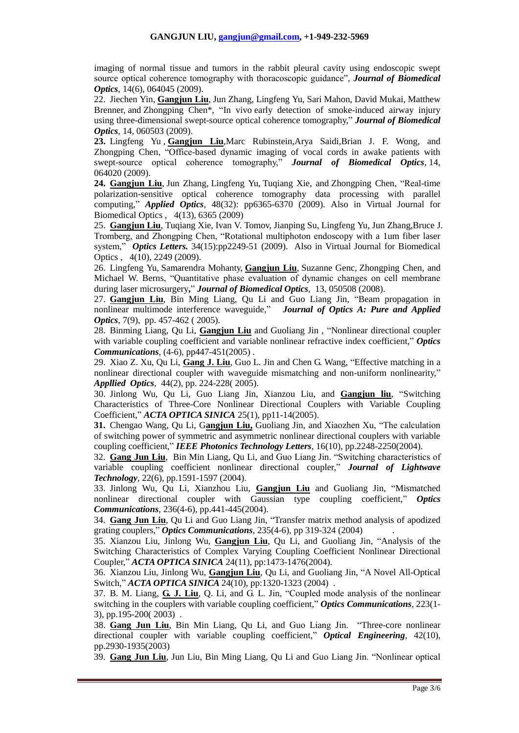imaging of normal tissue and tumors in the rabbit pleural cavity using endoscopic swept source optical coherence tomography with thoracoscopic guidance", *Journal of Biomedical Optics*, 14(6), 064045 (2009).

22. [Jiechen Yin,](http://spiedl.aip.org/vsearch/servlet/VerityServlet?KEY=SPIEDL&possible1=Yin%2C+Jiechen&possible1zone=author&maxdisp=25&smode=strresults&aqs=true) **[Gangjun Liu](http://spiedl.aip.org/vsearch/servlet/VerityServlet?KEY=SPIEDL&possible1=Liu%2C+Gangjun&possible1zone=author&maxdisp=25&smode=strresults&aqs=true)**, [Jun Zhang,](http://spiedl.aip.org/vsearch/servlet/VerityServlet?KEY=SPIEDL&possible1=Zhang%2C+Jun&possible1zone=author&maxdisp=25&smode=strresults&aqs=true) [Lingfeng Yu,](http://spiedl.aip.org/vsearch/servlet/VerityServlet?KEY=SPIEDL&possible1=Yu%2C+Lingfeng&possible1zone=author&maxdisp=25&smode=strresults&aqs=true) [Sari Mahon,](http://spiedl.aip.org/vsearch/servlet/VerityServlet?KEY=SPIEDL&possible1=Mahon%2C+Sari&possible1zone=author&maxdisp=25&smode=strresults&aqs=true) [David Mukai,](http://spiedl.aip.org/vsearch/servlet/VerityServlet?KEY=SPIEDL&possible1=Mukai%2C+David&possible1zone=author&maxdisp=25&smode=strresults&aqs=true) [Matthew](http://spiedl.aip.org/vsearch/servlet/VerityServlet?KEY=SPIEDL&possible1=Brenner%2C+Matthew&possible1zone=author&maxdisp=25&smode=strresults&aqs=true)  [Brenner,](http://spiedl.aip.org/vsearch/servlet/VerityServlet?KEY=SPIEDL&possible1=Brenner%2C+Matthew&possible1zone=author&maxdisp=25&smode=strresults&aqs=true) and [Zhongping Chen\\*](http://spiedl.aip.org/vsearch/servlet/VerityServlet?KEY=SPIEDL&possible1=Chen%2C+Zhongping&possible1zone=author&maxdisp=25&smode=strresults&aqs=true), "In vivo early detection of smoke-induced airway injury using three-dimensional swept-source optical coherence tomography," *Journal of Biomedical Optics*, 14, 060503 (2009).

**23.** [Lingfeng Yu](http://spiedl.aip.org/vsearch/servlet/VerityServlet?KEY=SPIEDL&possible1=Yu%2C+Lingfeng&possible1zone=author&maxdisp=25&smode=strresults&aqs=true) , **[Gangjun Liu](http://spiedl.aip.org/vsearch/servlet/VerityServlet?KEY=SPIEDL&possible1=Liu%2C+Gangjun&possible1zone=author&maxdisp=25&smode=strresults&aqs=true)**[,Marc Rubinstein](http://spiedl.aip.org/vsearch/servlet/VerityServlet?KEY=SPIEDL&possible1=Rubinstein%2C+Marc&possible1zone=author&maxdisp=25&smode=strresults&aqs=true)[,Arya Saidi](http://spiedl.aip.org/vsearch/servlet/VerityServlet?KEY=SPIEDL&possible1=Saidi%2C+Arya&possible1zone=author&maxdisp=25&smode=strresults&aqs=true)[,Brian J. F. Wong,](http://spiedl.aip.org/vsearch/servlet/VerityServlet?KEY=SPIEDL&possible1=Wong%2C+Brian+J.+F.&possible1zone=author&maxdisp=25&smode=strresults&aqs=true) and [Zhongping Chen,](http://spiedl.aip.org/vsearch/servlet/VerityServlet?KEY=SPIEDL&possible1=Chen%2C+Zhongping&possible1zone=author&maxdisp=25&smode=strresults&aqs=true) "Office-based dynamic imaging of vocal cords in awake patients with swept-source optical coherence tomography," *Journal of Biomedical Optics*, 14, 064020 (2009).

**24. [Gangjun Liu](javascript:searchAuthor()**, [Jun Zhang,](javascript:searchAuthor() [Lingfeng Yu,](javascript:searchAuthor() [Tuqiang Xie,](javascript:searchAuthor() and [Zhongping Chen,](javascript:searchAuthor() "Real-time polarization-sensitive optical coherence tomography data processing with parallel computing," *Applied Optics*, 48(32): pp6365-6370 (2009). Also in [Virtual Journal for](http://www.opticsinfobase.org/vjbo/)  [Biomedical Optics](http://www.opticsinfobase.org/vjbo/) , [4\(](http://www.opticsinfobase.org/vjbo/browse.cfm?journal=17&strVol=4)13), 6365 (2009)

25. **Gangjun Liu**, Tuqiang Xie, Ivan V. Tomov, Jianping Su, Lingfeng Yu, Jun Zhang,Bruce J. Tromberg, and Zhongping Chen, "Rotational multiphoton endoscopy with a 1um fiber laser system," *Optics [Letters.](javascript:AL_get(this,%20)* 34(15):pp2249-51 (2009). Also in [Virtual Journal for Biomedical](http://www.opticsinfobase.org/vjbo/) [Optics](http://www.opticsinfobase.org/vjbo/) , [4\(](http://www.opticsinfobase.org/vjbo/browse.cfm?journal=17&strVol=4)10), 2249 (2009).

26. [Lingfeng Yu,](http://spiedl.aip.org/vsearch/servlet/VerityServlet?KEY=SPIEDL&possible1=Yu%2C+Lingfeng&possible1zone=author&maxdisp=25&smode=strresults&aqs=true) [Samarendra Mohanty,](http://spiedl.aip.org/vsearch/servlet/VerityServlet?KEY=SPIEDL&possible1=Mohanty%2C+Samarendra&possible1zone=author&maxdisp=25&smode=strresults&aqs=true) **[Gangjun Liu](http://spiedl.aip.org/vsearch/servlet/VerityServlet?KEY=SPIEDL&possible1=Liu%2C+Gangjun&possible1zone=author&maxdisp=25&smode=strresults&aqs=true)**, [Suzanne Genc,](http://spiedl.aip.org/vsearch/servlet/VerityServlet?KEY=SPIEDL&possible1=Genc%2C+Suzanne&possible1zone=author&maxdisp=25&smode=strresults&aqs=true) [Zhongping Chen,](http://spiedl.aip.org/vsearch/servlet/VerityServlet?KEY=SPIEDL&possible1=Chen%2C+Zhongping&possible1zone=author&maxdisp=25&smode=strresults&aqs=true) and [Michael W. Berns,](http://spiedl.aip.org/vsearch/servlet/VerityServlet?KEY=SPIEDL&possible1=Berns%2C+Michael+W.&possible1zone=author&maxdisp=25&smode=strresults&aqs=true) "Quantitative phase evaluation of dynamic changes on cell membrane during laser microsurgery**,**" *Journal of Biomedical Optics*, 13, 050508 (2008).

27. **Gangjun Liu**, Bin Ming Liang, Qu Li and Guo Liang Jin, "Beam propagation in nonlinear multimode interference waveguide," *Journal of Optics A: Pure and Applied Optics*, 7(9), pp. 457-462 ( 2005).

28. Binming Liang, Qu Li, **Gangjun Liu** and Guoliang Jin , "Nonlinear directional coupler with variable coupling coefficient and variable nonlinear refractive index coefficient," *Optics Communications*, (4-6), pp447-451(2005) .

29. Xiao Z. Xu, Qu Li, **Gang J. Liu**, Guo L. Jin and Chen G. Wang, "Effective matching in a nonlinear directional coupler with waveguide mismatching and non-uniform nonlinearity," *Appllied Optics*, 44(2), pp. 224-228( 2005).

30. Jinlong Wu, Qu Li, Guo Liang Jin, Xianzou Liu, and **Gangjun liu**, "Switching Characteristics of Three-Core Nonlinear Directional Couplers with Variable Coupling Coefficient," *ACTA OPTICA SINICA* 25(1), pp11-14(2005).

**31.** Chengao Wang, Qu Li, G**angjun Liu,** Guoliang Jin, and Xiaozhen Xu, "The calculation of switching power of symmetric and asymmetric nonlinear directional couplers with variable coupling coefficient," *IEEE Photonics Technology Letters*, 16(10), pp.2248-2250(2004).

32. **Gang Jun Liu**, Bin Min Liang, Qu Li, and Guo Liang Jin. "Switching characteristics of variable coupling coefficient nonlinear directional coupler," *Journal of Lightwave Technology*, 22(6), pp.1591-1597 (2004).

33. Jinlong Wu, Qu Li, Xianzhou Liu, **Gangjun Liu** and Guoliang Jin, "Mismatched nonlinear directional coupler with Gaussian type coupling coefficient," *Optics Communications*, 236(4-6), pp.441-445(2004).

34. **Gang Jun Liu**, Qu Li and Guo Liang Jin, "Transfer matrix method analysis of apodized grating couplers," *Optics Communications*, 235(4-6), pp 319-324 (2004) .

35. Xianzou Liu, Jinlong Wu, **Gangjun Liu**, Qu Li, and Guoliang Jin, "Analysis of the Switching Characteristics of Complex Varying Coupling Coefficient Nonlinear Directional Coupler," *ACTA OPTICA SINICA* 24(11), pp:1473-1476(2004).

36. Xianzou Liu, Jinlong Wu, **Gangjun Liu**, Qu Li, and Guoliang Jin, "A Novel All-Optical Switch," *ACTA OPTICA SINICA* 24(10), pp:1320-1323 (2004).

37. B. M. Liang, **G. J. Liu**, Q. Li, and G. L. Jin, "Coupled mode analysis of the nonlinear switching in the couplers with variable coupling coefficient," *Optics Communications*, 223(1- 3), pp.195-200( 2003) .

38. **Gang Jun Liu**, Bin Min Liang, Qu Li, and Guo Liang Jin. "Three-core nonlinear directional coupler with variable coupling coefficient," *Optical Engineering*, 42(10), pp.2930-1935(2003)

39. **Gang Jun Liu**, Jun Liu, Bin Ming Liang, Qu Li and Guo Liang Jin. "Nonlinear optical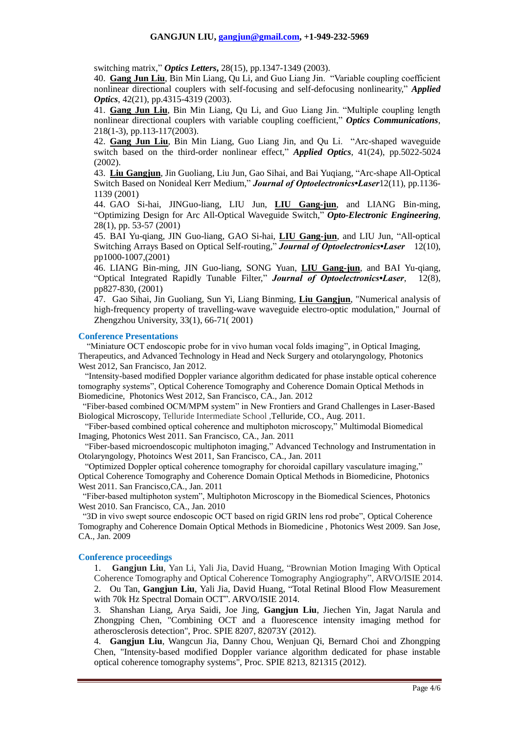switching matrix," *Optics Letters***,** 28(15), pp.1347-1349 (2003).

40. **Gang Jun Liu**, Bin Min Liang, Qu Li, and Guo Liang Jin. "Variable coupling coefficient nonlinear directional couplers with self-focusing and self-defocusing nonlinearity," *Applied Optics*, 42(21), pp.4315-4319 (2003).

41. **Gang Jun Liu**, Bin Min Liang, Qu Li, and Guo Liang Jin. "Multiple coupling length nonlinear directional couplers with variable coupling coefficient," *Optics Communications*, 218(1-3), pp.113-117(2003).

42. **Gang Jun Liu**, Bin Min Liang, Guo Liang Jin, and Qu Li. "Arc-shaped waveguide switch based on the third-order nonlinear effect," *Applied Optics*, 41(24), pp.5022-5024 (2002).

43. **Liu Gangjun**, Jin Guoliang, Liu Jun, Gao Sihai, and Bai Yuqiang, "Arc-shape All-Optical Switch Based on Nonideal Kerr Medium," *Journal of Optoelectronics•Laser*12(11), pp.1136- 1139 (2001)

44. GAO Si-hai, JINGuo-liang, LIU Jun, **LIU Gang-jun**, and LIANG Bin-ming, "Optimizing Design for Arc All-Optical Waveguide Switch," *Opto-Electronic Engineering*, 28(1), pp. 53-57 (2001)

45. BAI Yu-qiang, JIN Guo-liang, GAO Si-hai, **LIU Gang-jun**, and LIU Jun, "All-optical Switching Arrays Based on Optical Self-routing," *Journal of Optoelectronics•Laser* 12(10), pp1000-1007,(2001)

46. LIANG Bin-ming, JIN Guo-liang, SONG Yuan, **LIU Gang-jun**, and BAI Yu-qiang, "Optical Integrated Rapidly Tunable Filter," *Journal of Optoelectronics•Laser*, 12(8), pp827-830, (2001)

47. Gao Sihai, Jin Guoliang, Sun Yi, Liang Binming, **Liu Gangjun**, "Numerical analysis of high-frequency property of travelling-wave waveguide electro-optic modulation," Journal of Zhengzhou University, 33(1), 66-71( 2001)

#### **Conference Presentations**

"Miniature OCT endoscopic probe for in vivo human vocal folds imaging", in Optical Imaging, Therapeutics, and Advanced Technology in Head and Neck Surgery and otolaryngology, Photonics West 2012, San Francisco, Jan 2012.

 "Intensity-based modified Doppler variance algorithm dedicated for phase instable optical coherence tomography systems", Optical Coherence Tomography and Coherence Domain Optical Methods in Biomedicine, Photonics West 2012, San Francisco, CA., Jan. 2012

"Fiber-based combined OCM/MPM system" in New Frontiers and Grand Challenges in Laser-Based Biological Microscopy, Telluride Intermediate School ,Telluride, CO., Aug. 2011.

 "Fiber-based combined optical coherence and multiphoton microscopy," Multimodal Biomedical Imaging, Photonics West 2011. San Francisco, CA., Jan. 2011

 "Fiber-based microendoscopic multiphoton imaging," Advanced Technology and Instrumentation in Otolaryngology, Photoincs West 2011, San Francisco, CA., Jan. 2011

 "Optimized Doppler optical coherence tomography for choroidal capillary vasculature imaging," Optical Coherence Tomography and Coherence Domain Optical Methods in Biomedicine, Photonics West 2011. San Francisco,CA., Jan. 2011

 "Fiber-based multiphoton system", Multiphoton Microscopy in the Biomedical Sciences, Photonics West 2010. San Francisco, CA., Jan. 2010

 "3D in vivo swept source endoscopic OCT based on rigid GRIN lens rod probe", Optical Coherence Tomography and Coherence Domain Optical Methods in Biomedicine , Photonics West 2009. San Jose, CA., Jan. 2009

#### **Conference proceedings**

1. **Gangjun Liu**, Yan Li, Yali Jia, David Huang, "Brownian Motion Imaging With Optical Coherence Tomography and Optical Coherence Tomography Angiography", ARVO/ISIE 2014. 2. Ou Tan, **Gangjun Liu**, Yali Jia, David Huang, "Total Retinal Blood Flow Measurement with 70k Hz Spectral Domain OCT". ARVO/ISIE 2014.

3. Shanshan Liang, Arya Saidi, Joe Jing, **Gangjun Liu**, Jiechen Yin, Jagat Narula and Zhongping Chen, "Combining OCT and a fluorescence intensity imaging method for atherosclerosis detection", Proc. SPIE 8207, 82073Y (2012).

4. **Gangjun Liu**, Wangcun Jia, Danny Chou, Wenjuan Qi, Bernard Choi and Zhongping Chen, "Intensity-based modified Doppler variance algorithm dedicated for phase instable optical coherence tomography systems", Proc. SPIE 8213, 821315 (2012).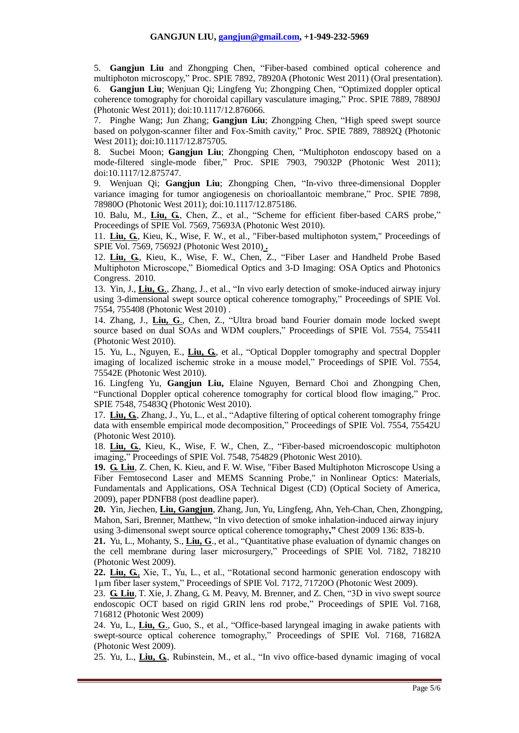5. **Gangjun Liu** and Zhongping Chen, "Fiber-based combined optical coherence and multiphoton microscopy," Proc. SPIE 7892, 78920A (Photonic West 2011) (Oral presentation). 6. **Gangjun Liu**; Wenjuan Qi; Lingfeng Yu; Zhongping Chen, "Optimized doppler optical coherence tomography for choroidal capillary vasculature imaging," Proc. SPIE 7889, 78890J (Photonic West 2011); doi:10.1117/12.876066.

7. Pinghe Wang; Jun Zhang; **Gangjun Liu**; Zhongping Chen, "High speed swept source based on polygon-scanner filter and Fox-Smith cavity," Proc. SPIE 7889, 78892Q (Photonic West 2011); doi:10.1117/12.875705.

8. Sucbei Moon; **Gangjun Liu**; Zhongping Chen, "Multiphoton endoscopy based on a mode-filtered single-mode fiber," Proc. SPIE 7903, 79032P (Photonic West 2011); doi:10.1117/12.875747.

9. Wenjuan Qi; **Gangjun Liu**; Zhongping Chen, "In-vivo three-dimensional Doppler variance imaging for tumor angiogenesis on chorioallantoic membrane," Proc. SPIE 7898, 78980O (Photonic West 2011); doi:10.1117/12.875186.

10. Balu, M., **Liu, G.**, Chen, Z., et al., "Scheme for efficient fiber-based CARS probe," Proceedings of SPIE Vol. 7569, 75693A (Photonic West 2010).

11. **Liu, G.**, Kieu, K., Wise, F. W., et al., "Fiber-based multiphoton system," Proceedings of SPIE Vol. 7569, 75692J (Photonic West 2010) **.**

12. **Liu, G.**, Kieu, K., Wise, F. W., Chen, Z., "Fiber Laser and Handheld Probe Based Multiphoton Microscope," Biomedical Optics and 3-D Imaging: OSA Optics and Photonics Congress. 2010.

13. Yin, J., **Liu, G**., Zhang, J., et al., "In vivo early detection of smoke-induced airway injury using 3-dimensional swept source optical coherence tomography," Proceedings of SPIE Vol. 7554, 755408 (Photonic West 2010) .

14. Zhang, J., **Liu, G**., Chen, Z., "Ultra broad band Fourier domain mode locked swept source based on dual SOAs and WDM couplers," Proceedings of SPIE Vol. 7554, 75541I (Photonic West 2010).

15. Yu, L., Nguyen, E., **Liu, G.**, et al., "Optical Doppler tomography and spectral Doppler imaging of localized ischemic stroke in a mouse model," Proceedings of SPIE Vol. 7554, 75542E (Photonic West 2010).

16. Lingfeng Yu, **Gangjun Liu,** Elaine Nguyen, Bernard Choi and Zhongping Chen, "Functional Doppler optical coherence tomography for cortical blood flow imaging," Proc. SPIE 7548, 75483Q (Photonic West 2010).

17. **Liu, G.**, Zhang, J., Yu, L., et al., "Adaptive filtering of optical coherent tomography fringe data with ensemble empirical mode decomposition," Proceedings of SPIE Vol. 7554, 75542U (Photonic West 2010).

18. **Liu, G.**, Kieu, K., Wise, F. W., Chen, Z., "Fiber-based microendoscopic multiphoton imaging," Proceedings of SPIE Vol. 7548, 754829 (Photonic West 2010).

**19. G. Liu**, Z. Chen, K. Kieu, and F. W. Wise, "Fiber Based Multiphoton Microscope Using a Fiber Femtosecond Laser and MEMS Scanning Probe," in Nonlinear Optics: Materials, Fundamentals and Applications, OSA Technical Digest (CD) (Optical Society of America, 2009), paper PDNFB8 (post deadline paper).

**20.** Yin, Jiechen, **Liu, Gangjun**, Zhang, Jun, Yu, Lingfeng, Ahn, Yeh-Chan, Chen, Zhongping, Mahon, Sari, Brenner, Matthew, "In vivo detection of smoke inhalation-induced airway injury using 3-dimensonal swept source optical coherence tomography**,"** Chest 2009 136: 83S-b.

**21.** Yu, L., Mohanty, S., **Liu, G**., et al., "Quantitative phase evaluation of dynamic changes on the cell membrane during laser microsurgery," Proceedings of SPIE Vol. 7182, 718210 (Photonic West 2009).

**22. Liu, G.**, Xie, T., Yu, L., et al., "Rotational second harmonic generation endoscopy with 1µm fiber laser system," Proceedings of SPIE Vol. 7172, 71720O (Photonic West 2009).

23. **G. [Liu](http://spiedl.aip.org/vsearch/servlet/VerityServlet?KEY=SPIEDL&possible1=Liu%2C+Gangjun&possible1zone=author&maxdisp=25&smode=strresults&aqs=true)**, [T.](http://spiedl.aip.org/vsearch/servlet/VerityServlet?KEY=SPIEDL&possible1=Xie%2C+Tuqiang&possible1zone=author&maxdisp=25&smode=strresults&aqs=true) Xie, J. [Zhang,](http://spiedl.aip.org/vsearch/servlet/VerityServlet?KEY=SPIEDL&possible1=Zhang%2C+Jun&possible1zone=author&maxdisp=25&smode=strresults&aqs=true) G. [M. Peavy,](http://spiedl.aip.org/vsearch/servlet/VerityServlet?KEY=SPIEDL&possible1=Peavy%2C+George+M.&possible1zone=author&maxdisp=25&smode=strresults&aqs=true) M. [Brenner,](http://spiedl.aip.org/vsearch/servlet/VerityServlet?KEY=SPIEDL&possible1=Brenner%2C+Matthew&possible1zone=author&maxdisp=25&smode=strresults&aqs=true) and Z. [Chen,](http://spiedl.aip.org/vsearch/servlet/VerityServlet?KEY=SPIEDL&possible1=Chen%2C+Zhongping&possible1zone=author&maxdisp=25&smode=strresults&aqs=true) "3D in vivo swept source endoscopic OCT based on rigid GRIN lens rod probe," Proceedings of SPIE Vol. 7168, 716812 (Photonic West 2009)

24. Yu, L., **Liu, G**., Guo, S., et al., "Office-based laryngeal imaging in awake patients with swept-source optical coherence tomography," Proceedings of SPIE Vol. 7168, 71682A (Photonic West 2009).

25. Yu, L., **Liu, G.**, Rubinstein, M., et al., "In vivo office-based dynamic imaging of vocal